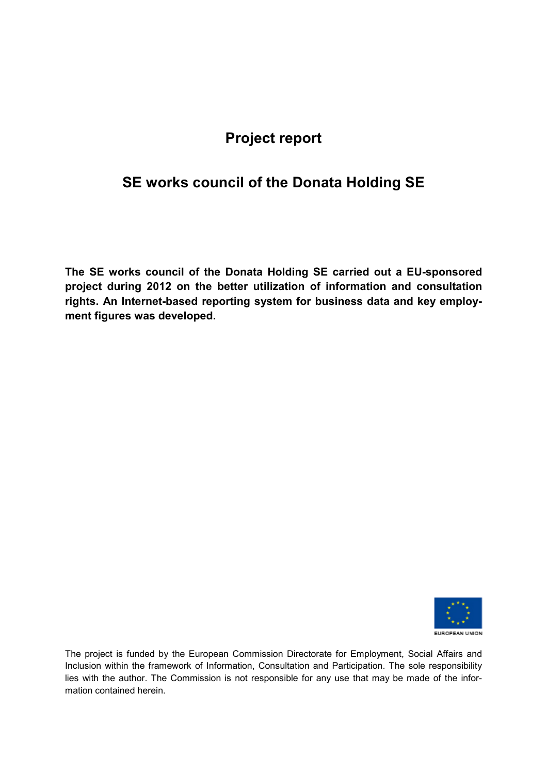# **Project report**

# **SE works council of the Donata Holding SE**

**The SE works council of the Donata Holding SE carried out a EU-sponsored project during 2012 on the better utilization of information and consultation rights. An Internet-based reporting system for business data and key employment figures was developed.** 



The project is funded by the European Commission Directorate for Employment, Social Affairs and Inclusion within the framework of Information, Consultation and Participation. The sole responsibility lies with the author. The Commission is not responsible for any use that may be made of the information contained herein.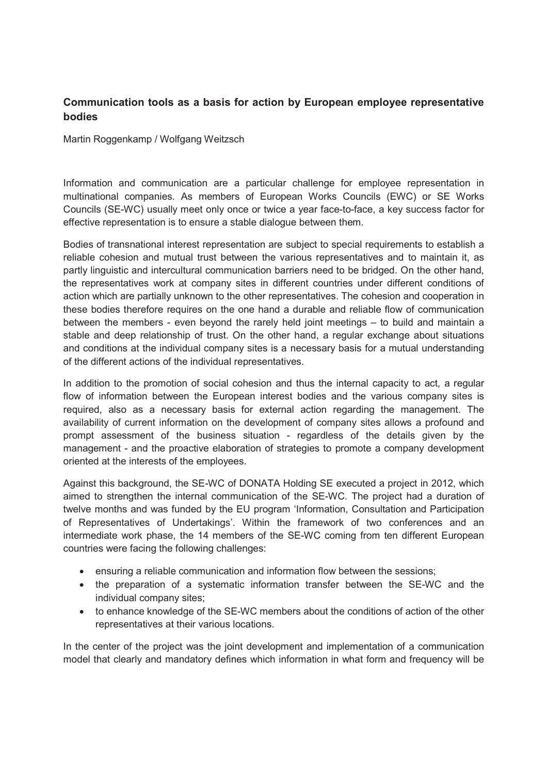#### Communication tools as a basis for action by European employee representative **bodies**

Martin Roggenkamp / Wolfgang Weitzsch

Information and communication are a particular challenge for employee representation in multinational companies. As members of European Works Councils (EWC) or SE Works Councils (SE-WC) usually meet only once or twice a year face-to-face, a key success factor for effective representation is to ensure a stable dialogue between them.

Bodies of transnational interest representation are subject to special requirements to establish a reliable cohesion and mutual trust between the various representatives and to maintain it, as partly linguistic and intercultural communication barriers need to be bridged. On the other hand, the representatives work at company sites in different countries under different conditions of action which are partially unknown to the other representatives. The cohesion and cooperation in these bodies therefore requires on the one hand a durable and reliable flow of communication between the members - even beyond the rarely held joint meetings – to build and maintain a stable and deep relationship of trust. On the other hand, a regular exchange about situations and conditions at the individual company sites is a necessary basis for a mutual understanding of the different actions of the individual representatives.

In addition to the promotion of social cohesion and thus the internal capacity to act, a regular flow of information between the European interest bodies and the various company sites is required, also as a necessary basis for external action regarding the management. The availability of current information on the development of company sites allows a profound and prompt assessment of the business situation - regardless of the details given by the management - and the proactive elaboration of strategies to promote a company development oriented at the interests of the employees.

Against this background, the SE-WC of DONATA Holding SE executed a project in 2012, which aimed to strengthen the internal communication of the SE-WC. The project had a duration of twelve months and was funded by the EU program 'Information, Consultation and Participation of Representatives of Undertakings'. Within the framework of two conferences and an intermediate work phase, the 14 members of the SE-WC coming from ten different European countries were facing the following challenges:

- ensuring a reliable communication and information flow between the sessions;
- the preparation of a systematic information transfer between the SE-WC and the individual company sites;
- to enhance knowledge of the SE-WC members about the conditions of action of the other representatives at their various locations.

In the center of the project was the joint development and implementation of a communication model that clearly and mandatory defines which information in what form and frequency will be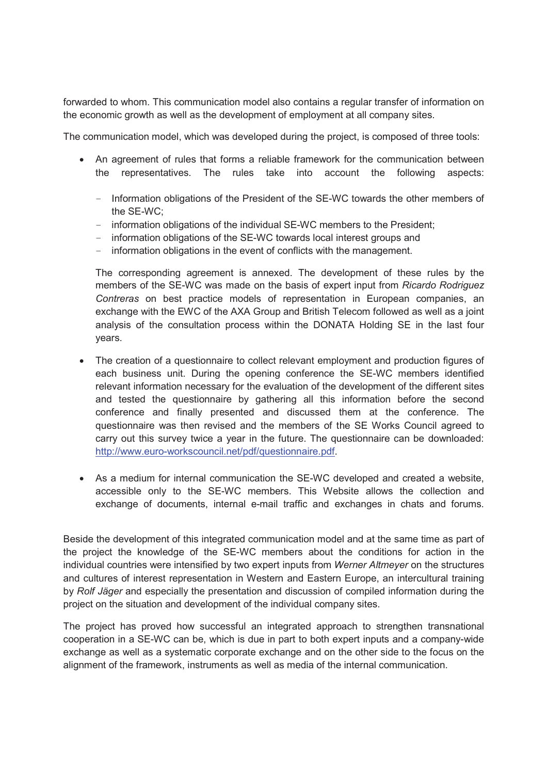forwarded to whom. This communication model also contains a regular transfer of information on the economic growth as well as the development of employment at all company sites.

The communication model, which was developed during the project, is composed of three tools:

- An agreement of rules that forms a reliable framework for the communication between the representatives. The rules take into account the following aspects:
	- Information obligations of the President of the SE-WC towards the other members of the SE-WC:
	- information obligations of the individual SE-WC members to the President;
	- information obligations of the SE-WC towards local interest groups and
	- information obligations in the event of conflicts with the management.

The corresponding agreement is annexed. The development of these rules by the members of the SE-WC was made on the basis of expert input from Ricardo Rodriguez Contreras on best practice models of representation in European companies, an exchange with the EWC of the AXA Group and British Telecom followed as well as a joint analysis of the consultation process within the DONATA Holding SE in the last four vears.

- The creation of a questionnaire to collect relevant employment and production figures of each business unit. During the opening conference the SE-WC members identified relevant information necessary for the evaluation of the development of the different sites and tested the questionnaire by gathering all this information before the second conference and finally presented and discussed them at the conference. The questionnaire was then revised and the members of the SE Works Council agreed to carry out this survey twice a year in the future. The questionnaire can be downloaded: http://www.euro-workscouncil.net/pdf/questionnaire.pdf.
- As a medium for internal communication the SE-WC developed and created a website, accessible only to the SE-WC members. This Website allows the collection and exchange of documents, internal e-mail traffic and exchanges in chats and forums.

Beside the development of this integrated communication model and at the same time as part of the project the knowledge of the SE-WC members about the conditions for action in the individual countries were intensified by two expert inputs from Werner Altmeyer on the structures and cultures of interest representation in Western and Eastern Europe, an intercultural training by Rolf Jäger and especially the presentation and discussion of compiled information during the project on the situation and development of the individual company sites.

The project has proved how successful an integrated approach to strengthen transnational cooperation in a SE-WC can be, which is due in part to both expert inputs and a company-wide exchange as well as a systematic corporate exchange and on the other side to the focus on the alignment of the framework, instruments as well as media of the internal communication.